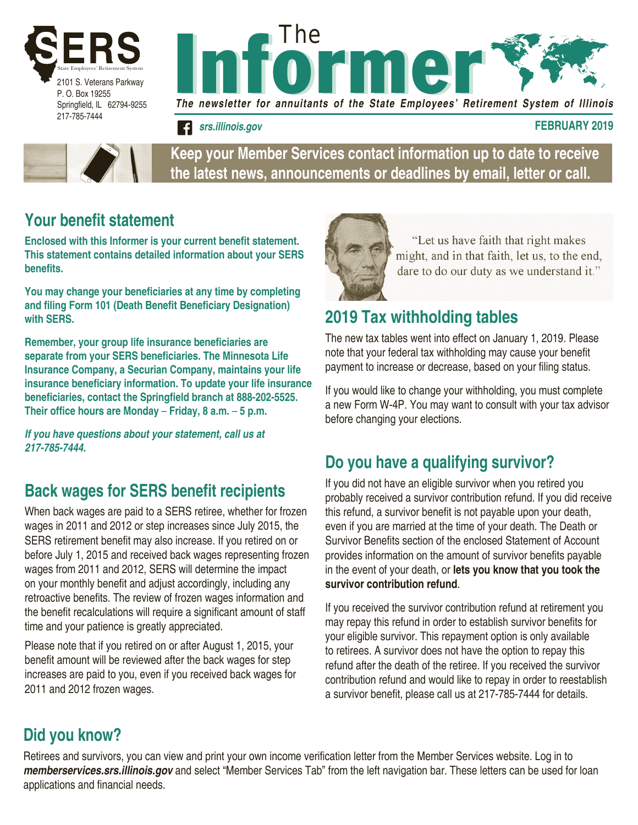





**Keep your Member Services contact information up to date to receive the latest news, announcements or deadlines by email, letter or call.**

### **Your benefit statement**

**Enclosed with this Informer is your current benefit statement. This statement contains detailed information about your SERS benefits.** 

**You may change your beneficiaries at any time by completing and filing Form 101 (Death Benefit Beneficiary Designation) with SERS.**

**Remember, your group life insurance beneficiaries are separate from your SERS beneficiaries. The Minnesota Life Insurance Company, a Securian Company, maintains your life insurance beneficiary information. To update your life insurance beneficiaries, contact the Springfield branch at 888-202-5525. Their office hours are Monday** – **Friday, 8 a.m.** – **5 p.m.**

*If you have questions about your statement, call us at 217-785-7444.*

### **Back wages for SERS benefit recipients**

When back wages are paid to a SERS retiree, whether for frozen wages in 2011 and 2012 or step increases since July 2015, the SERS retirement benefit may also increase. If you retired on or before July 1, 2015 and received back wages representing frozen wages from 2011 and 2012, SERS will determine the impact on your monthly benefit and adjust accordingly, including any retroactive benefits. The review of frozen wages information and the benefit recalculations will require a significant amount of staff time and your patience is greatly appreciated.

Please note that if you retired on or after August 1, 2015, your benefit amount will be reviewed after the back wages for step increases are paid to you, even if you received back wages for 2011 and 2012 frozen wages.



"Let us have faith that right makes might, and in that faith, let us, to the end, dare to do our duty as we understand it."

### **2019 Tax withholding tables**

The new tax tables went into effect on January 1, 2019. Please note that your federal tax withholding may cause your benefit payment to increase or decrease, based on your filing status.

If you would like to change your withholding, you must complete a new Form W-4P. You may want to consult with your tax advisor before changing your elections.

### **Do you have a qualifying survivor?**

If you did not have an eligible survivor when you retired you probably received a survivor contribution refund. If you did receive this refund, a survivor benefit is not payable upon your death, even if you are married at the time of your death. The Death or Survivor Benefits section of the enclosed Statement of Account provides information on the amount of survivor benefits payable in the event of your death, or **lets you know that you took the survivor contribution refund**.

If you received the survivor contribution refund at retirement you may repay this refund in order to establish survivor benefits for your eligible survivor. This repayment option is only available to retirees. A survivor does not have the option to repay this refund after the death of the retiree. If you received the survivor contribution refund and would like to repay in order to reestablish a survivor benefit, please call us at 217-785-7444 for details.

## **Did you know?**

Retirees and survivors, you can view and print your own income verification letter from the Member Services website. Log in to *memberservices.srs.illinois.gov* and select "Member Services Tab" from the left navigation bar. These letters can be used for loan applications and financial needs.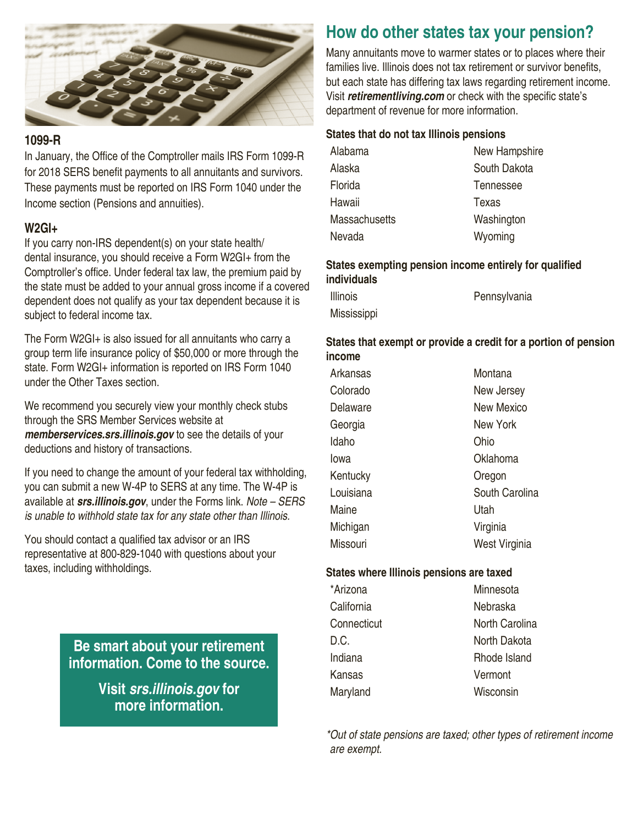

### **1099-R**

In January, the Office of the Comptroller mails IRS Form 1099-R for 2018 SERS benefit payments to all annuitants and survivors. These payments must be reported on IRS Form 1040 under the Income section (Pensions and annuities).

### **W2GI+**

If you carry non-IRS dependent(s) on your state health/ dental insurance, you should receive a Form W2GI+ from the Comptroller's office. Under federal tax law, the premium paid by the state must be added to your annual gross income if a covered dependent does not qualify as your tax dependent because it is subject to federal income tax.

The Form W2GI+ is also issued for all annuitants who carry a group term life insurance policy of \$50,000 or more through the state. Form W2GI+ information is reported on IRS Form 1040 under the Other Taxes section.

We recommend you securely view your monthly check stubs through the SRS Member Services website at *memberservices.srs.illinois.gov* to see the details of your deductions and history of transactions.

If you need to change the amount of your federal tax withholding, you can submit a new W-4P to SERS at any time. The W-4P is available at *srs.illinois.gov*, under the Forms link. *Note – SERS is unable to withhold state tax for any state other than Illinois.*

You should contact a qualified tax advisor or an IRS representative at 800-829-1040 with questions about your taxes, including withholdings.

> **Be smart about your retirement information. Come to the source.**

> > **Visit** *srs.illinois.gov* **for more information.**

## **How do other states tax your pension?**

Many annuitants move to warmer states or to places where their families live. Illinois does not tax retirement or survivor benefits, but each state has differing tax laws regarding retirement income. Visit *retirementliving.com* or check with the specific state's department of revenue for more information.

#### **States that do not tax Illinois pensions**

| Alabama              | New Hampshire |  |
|----------------------|---------------|--|
| Alaska               | South Dakota  |  |
| Florida              | Tennessee     |  |
| Hawaii               | Texas         |  |
| <b>Massachusetts</b> | Washington    |  |
| Nevada               | Wyoming       |  |
|                      |               |  |

#### **States exempting pension income entirely for qualified individuals**

| <b>Illinois</b>    | Pennsylvania |
|--------------------|--------------|
| <b>Mississippi</b> |              |

#### **States that exempt or provide a credit for a portion of pension income**

| Arkansas  | Montana           |
|-----------|-------------------|
| Colorado  | New Jersey        |
| Delaware  | <b>New Mexico</b> |
| Georgia   | New York          |
| Idaho     | Ohio              |
| lowa      | Oklahoma          |
| Kentucky  | Oregon            |
| Louisiana | South Carolina    |
| Maine     | Utah              |
| Michigan  | Virginia          |
| Missouri  | West Virginia     |

#### **States where Illinois pensions are taxed**

| *Arizona    | Minnesota      |
|-------------|----------------|
| California  | Nebraska       |
| Connecticut | North Carolina |
| D.C.        | North Dakota   |
| Indiana     | Rhode Island   |
| Kansas      | Vermont        |
| Maryland    | Wisconsin      |
|             |                |

*\*Out of state pensions are taxed; other types of retirement income are exempt.*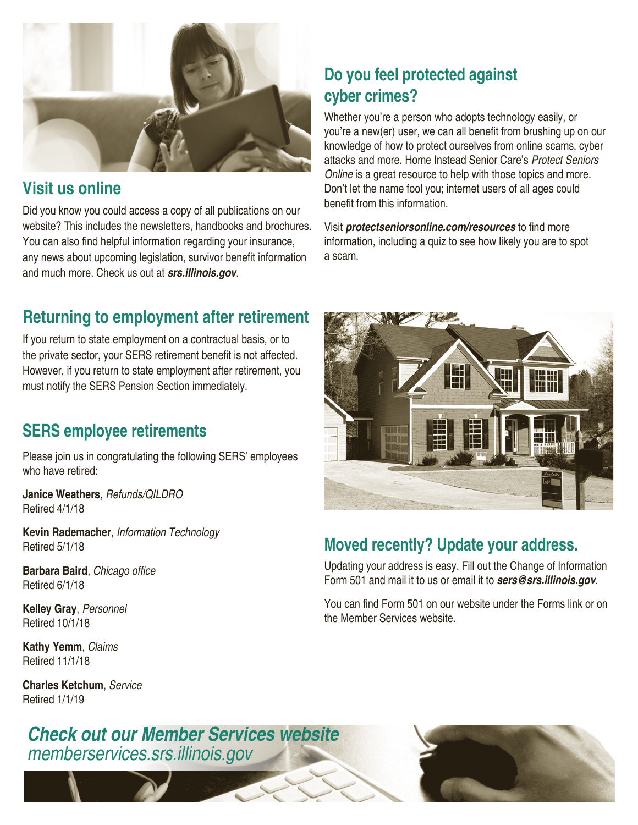

### **Visit us online**

Did you know you could access a copy of all publications on our website? This includes the newsletters, handbooks and brochures. You can also find helpful information regarding your insurance, any news about upcoming legislation, survivor benefit information and much more. Check us out at *srs.illinois.gov*.

# **Do you feel protected against cyber crimes?**

Whether you're a person who adopts technology easily, or you're a new(er) user, we can all benefit from brushing up on our knowledge of how to protect ourselves from online scams, cyber attacks and more. Home Instead Senior Care's *Protect Seniors Online* is a great resource to help with those topics and more. Don't let the name fool you; internet users of all ages could benefit from this information.

Visit *protectseniorsonline.com/resources* to find more information, including a quiz to see how likely you are to spot a scam.

# **Returning to employment after retirement**

If you return to state employment on a contractual basis, or to the private sector, your SERS retirement benefit is not affected. However, if you return to state employment after retirement, you must notify the SERS Pension Section immediately.

## **SERS employee retirements**

Please join us in congratulating the following SERS' employees who have retired:

**Janice Weathers**, *Refunds/QILDRO* Retired 4/1/18

**Kevin Rademacher**, *Information Technology* Retired 5/1/18

**Barbara Baird**, Chicago office Retired 6/1/18

**Kelley Gray**, *Personnel* Retired 10/1/18

**Kathy Yemm**, *Claims* Retired 11/1/18

**Charles Ketchum**, *Service* Retired 1/1/19

*Check out our Member Services website memberservices.srs.illinois.gov*



## **Moved recently? Update your address.**

Updating your address is easy. Fill out the Change of Information Form 501 and mail it to us or email it to *sers@srs.illinois.gov*.

You can find Form 501 on our website under the Forms link or on the Member Services website.